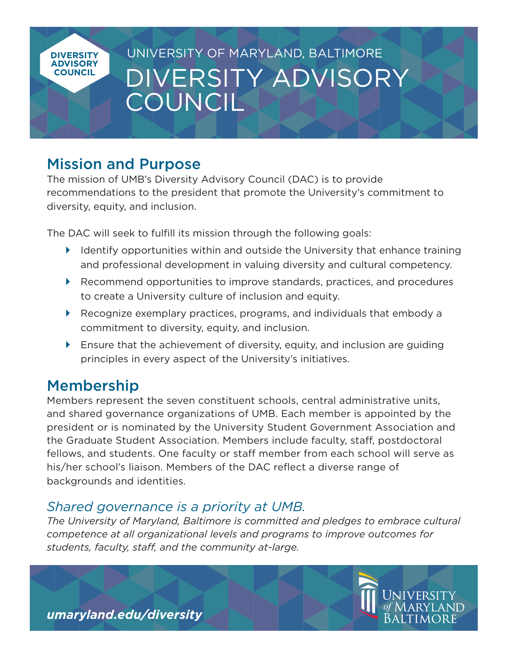

# Mission and Purpose

The mission of UMB's Diversity Advisory Council (DAC) is to provide recommendations to the president that promote the University's commitment to diversity, equity, and inclusion.

The DAC will seek to fulfill its mission through the following goals:

- $\blacktriangleright$  Identify opportunities within and outside the University that enhance training and professional development in valuing diversity and cultural competency.
- ▶ Recommend opportunities to improve standards, practices, and procedures to create a University culture of inclusion and equity.
- Recognize exemplary practices, programs, and individuals that embody a commitment to diversity, equity, and inclusion.
- Ensure that the achievement of diversity, equity, and inclusion are guiding principles in every aspect of the University's initiatives.

# Membership

Members represent the seven constituent schools, central administrative units, and shared governance organizations of UMB. Each member is appointed by the president or is nominated by the University Student Government Association and the Graduate Student Association. Members include faculty, staff, postdoctoral fellows, and students. One faculty or staff member from each school will serve as his/her school's liaison. Members of the DAC reflect a diverse range of backgrounds and identities.

# *Shared governance is a priority at UMB.*

*The University of Maryland, Baltimore is committed and pledges to embrace cultural competence at all organizational levels and programs to improve outcomes for students, faculty, staff, and the community at-large.*